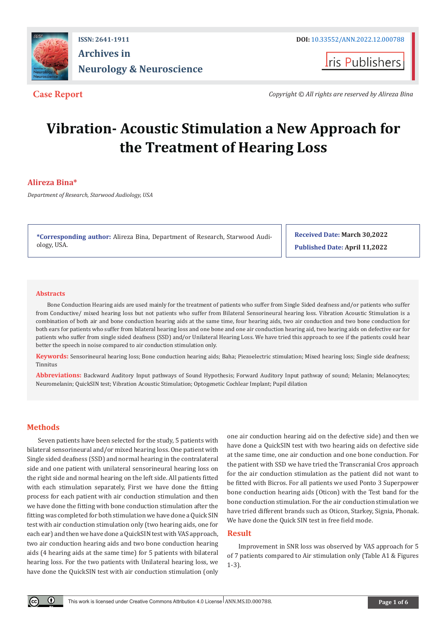

# **ISSN: 2641-1911 DOI:** [10.33552/ANN.2022.12.000788](http://dx.doi.org/10.33552/ANN.2022.12.000788) **Archives in Neurology & Neuroscience**

**I**ris Publishers

**Case Report** *Copyright © All rights are reserved by Alireza Bina*

# **Vibration- Acoustic Stimulation a New Approach for the Treatment of Hearing Loss**

# **Alireza Bina\***

*Department of Research, Starwood Audiology, USA*

**\*Corresponding author:** Alireza Bina, Department of Research, Starwood Audiology, USA.

**Received Date: March 30,2022 Published Date: April 11,2022**

#### **Abstracts**

Bone Conduction Hearing aids are used mainly for the treatment of patients who suffer from Single Sided deafness and/or patients who suffer from Conductive/ mixed hearing loss but not patients who suffer from Bilateral Sensorineural hearing loss. Vibration Acoustic Stimulation is a combination of both air and bone conduction hearing aids at the same time, four hearing aids, two air conduction and two bone conduction for both ears for patients who suffer from bilateral hearing loss and one bone and one air conduction hearing aid, two hearing aids on defective ear for patients who suffer from single sided deafness (SSD) and/or Unilateral Hearing Loss. We have tried this approach to see if the patients could hear better the speech in noise compared to air conduction stimulation only.

**Keywords:** Sensorineural hearing loss; Bone conduction hearing aids; Baha; Piezoelectric stimulation; Mixed hearing loss; Single side deafness; Tinnitus

**Abbreviations:** Backward Auditory Input pathways of Sound Hypothesis; Forward Auditory Input pathway of sound; Melanin; Melanocytes; Neuromelanin; QuickSIN test; Vibration Acoustic Stimulation; Optogenetic Cochlear Implant; Pupil dilation

# **Methods**

 $\odot$ 

Seven patients have been selected for the study, 5 patients with bilateral sensorineural and/or mixed hearing loss. One patient with Single sided deafness (SSD) and normal hearing in the contralateral side and one patient with unilateral sensorineural hearing loss on the right side and normal hearing on the left side. All patients fitted with each stimulation separately, First we have done the fitting process for each patient with air conduction stimulation and then we have done the fitting with bone conduction stimulation after the fitting was completed for both stimulation we have done a Quick SIN test with air conduction stimulation only (two hearing aids, one for each ear) and then we have done a QuickSIN test with VAS approach, two air conduction hearing aids and two bone conduction hearing aids (4 hearing aids at the same time) for 5 patients with bilateral hearing loss. For the two patients with Unilateral hearing loss, we have done the QuickSIN test with air conduction stimulation (only

one air conduction hearing aid on the defective side) and then we have done a QuickSIN test with two hearing aids on defective side at the same time, one air conduction and one bone conduction. For the patient with SSD we have tried the Transcranial Cros approach for the air conduction stimulation as the patient did not want to be fitted with Bicros. For all patients we used Ponto 3 Superpower bone conduction hearing aids (Oticon) with the Test band for the bone conduction stimulation. For the air conduction stimulation we have tried different brands such as Oticon, Starkey, Signia, Phonak. We have done the Quick SIN test in free field mode.

#### **Result**

Improvement in SNR loss was observed by VAS approach for 5 of 7 patients compared to Air stimulation only (Table A1 & Figures 1-3).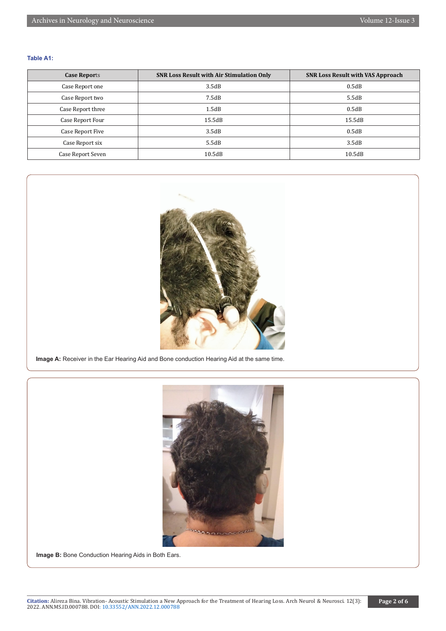#### **Table A1:**

| <b>Case Reports</b> | <b>SNR Loss Result with Air Stimulation Only</b> | <b>SNR Loss Result with VAS Approach</b> |
|---------------------|--------------------------------------------------|------------------------------------------|
| Case Report one     | 3.5dB                                            | 0.5dB                                    |
| Case Report two     | 7.5dB                                            | 5.5dB                                    |
| Case Report three   | 1.5dB                                            | 0.5dB                                    |
| Case Report Four    | 15.5dB                                           | 15.5dB                                   |
| Case Report Five    | 3.5dB                                            | 0.5dB                                    |
| Case Report six     | 5.5dB                                            | 3.5dB                                    |
| Case Report Seven   | 10.5dB                                           | 10.5dB                                   |



**Image A:** Receiver in the Ear Hearing Aid and Bone conduction Hearing Aid at the same time.



**Image B:** Bone Conduction Hearing Aids in Both Ears.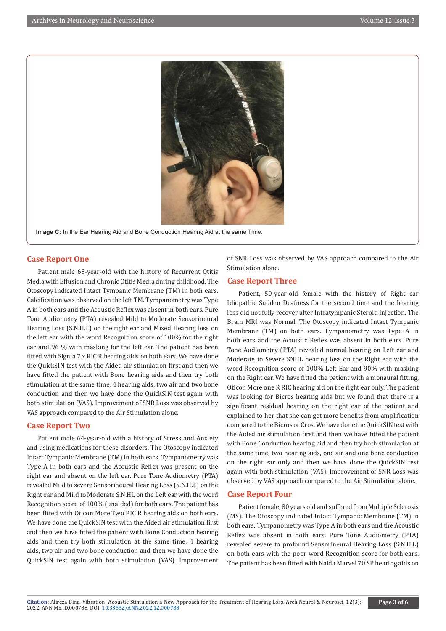

**Image C:** In the Ear Hearing Aid and Bone Conduction Hearing Aid at the same Time.

# **Case Report One**

Patient male 68-year-old with the history of Recurrent Otitis Media with Effusion and Chronic Otitis Media during childhood. The Otoscopy indicated Intact Tympanic Membrane (TM) in both ears. Calcification was observed on the left TM. Tympanometry was Type A in both ears and the Acoustic Reflex was absent in both ears. Pure Tone Audiometry (PTA) revealed Mild to Moderate Sensorineural Hearing Loss (S.N.H.L) on the right ear and Mixed Hearing loss on the left ear with the word Recognition score of 100% for the right ear and 96 % with masking for the left ear. The patient has been fitted with Signia 7 x RIC R hearing aids on both ears. We have done the QuickSIN test with the Aided air stimulation first and then we have fitted the patient with Bone hearing aids and then try both stimulation at the same time, 4 hearing aids, two air and two bone conduction and then we have done the QuickSIN test again with both stimulation (VAS). Improvement of SNR Loss was observed by VAS approach compared to the Air Stimulation alone.

### **Case Report Two**

Patient male 64-year-old with a history of Stress and Anxiety and using medications for these disorders. The Otoscopy indicated Intact Tympanic Membrane (TM) in both ears. Tympanometry was Type A in both ears and the Acoustic Reflex was present on the right ear and absent on the left ear. Pure Tone Audiometry (PTA) revealed Mild to severe Sensorineural Hearing Loss (S.N.H.L) on the Right ear and Mild to Moderate S.N.HL on the Left ear with the word Recognition score of 100% (unaided) for both ears. The patient has been fitted with Oticon More Two RIC R hearing aids on both ears. We have done the QuickSIN test with the Aided air stimulation first and then we have fitted the patient with Bone Conduction hearing aids and then try both stimulation at the same time, 4 hearing aids, two air and two bone conduction and then we have done the QuickSIN test again with both stimulation (VAS). Improvement of SNR Loss was observed by VAS approach compared to the Air Stimulation alone.

#### **Case Report Three**

Patient, 50-year-old female with the history of Right ear Idiopathic Sudden Deafness for the second time and the hearing loss did not fully recover after Intratympanic Steroid Injection. The Brain MRI was Normal. The Otoscopy indicated Intact Tympanic Membrane (TM) on both ears. Tympanometry was Type A in both ears and the Acoustic Reflex was absent in both ears. Pure Tone Audiometry (PTA) revealed normal hearing on Left ear and Moderate to Severe SNHL hearing loss on the Right ear with the word Recognition score of 100% Left Ear and 90% with masking on the Right ear. We have fitted the patient with a monaural fitting, Oticon More one R RIC hearing aid on the right ear only. The patient was looking for Bicros hearing aids but we found that there is a significant residual hearing on the right ear of the patient and explained to her that she can get more benefits from amplification compared to the Bicros or Cros. We have done the QuickSIN test with the Aided air stimulation first and then we have fitted the patient with Bone Conduction hearing aid and then try both stimulation at the same time, two hearing aids, one air and one bone conduction on the right ear only and then we have done the QuickSIN test again with both stimulation (VAS). Improvement of SNR Loss was observed by VAS approach compared to the Air Stimulation alone.

#### **Case Report Four**

Patient female, 80 years old and suffered from Multiple Sclerosis (MS). The Otoscopy indicated Intact Tympanic Membrane (TM) in both ears. Tympanometry was Type A in both ears and the Acoustic Reflex was absent in both ears. Pure Tone Audiometry (PTA) revealed severe to profound Sensorineural Hearing Loss (S.N.H.L) on both ears with the poor word Recognition score for both ears. The patient has been fitted with Naida Marvel 70 SP hearing aids on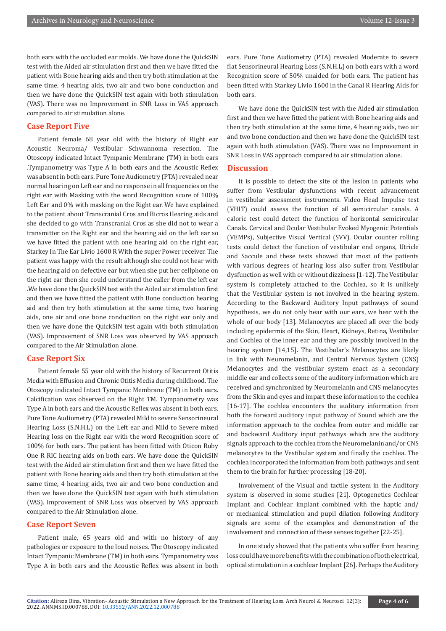both ears with the occluded ear molds. We have done the QuickSIN test with the Aided air stimulation first and then we have fitted the patient with Bone hearing aids and then try both stimulation at the same time, 4 hearing aids, two air and two bone conduction and then we have done the QuickSIN test again with both stimulation (VAS). There was no Improvement in SNR Loss in VAS approach compared to air stimulation alone.

# **Case Report Five**

Patient female 68 year old with the history of Right ear Acoustic Neuroma/ Vestibular Schwannoma resection. The Otoscopy indicated Intact Tympanic Membrane (TM) in both ears .Tympanometry was Type A in both ears and the Acoustic Reflex was absent in both ears. Pure Tone Audiometry (PTA) revealed near normal hearing on Left ear and no response in all frequencies on the right ear with Masking with the word Recognition score of 100% Left Ear and 0% with masking on the Right ear. We have explained to the patient about Transcranial Cros and Bicros Hearing aids and she decided to go with Transcranial Cros as she did not to wear a transmitter on the Right ear and the hearing aid on the left ear so we have fitted the patient with one hearing aid on the right ear, Starkey In The Ear Livio 1600 R With the super Power receiver. The patient was happy with the result although she could not hear with the hearing aid on defective ear but when she put her cellphone on the right ear then she could understand the caller from the left ear .We have done the QuickSIN test with the Aided air stimulation first and then we have fitted the patient with Bone conduction hearing aid and then try both stimulation at the same time, two hearing aids, one air and one bone conduction on the right ear only and then we have done the QuickSIN test again with both stimulation (VAS). Improvement of SNR Loss was observed by VAS approach compared to the Air Stimulation alone.

#### **Case Report Six**

Patient female 55 year old with the history of Recurrent Otitis Media with Effusion and Chronic Otitis Media during childhood. The Otoscopy indicated Intact Tympanic Membrane (TM) in both ears. Calcification was observed on the Right TM. Tympanometry was Type A in both ears and the Acoustic Reflex was absent in both ears. Pure Tone Audiometry (PTA) revealed Mild to severe Sensorineural Hearing Loss (S.N.H.L) on the Left ear and Mild to Severe mixed Hearing loss on the Right ear with the word Recognition score of 100% for both ears. The patient has been fitted with Oticon Ruby One R RIC hearing aids on both ears. We have done the QuickSIN test with the Aided air stimulation first and then we have fitted the patient with Bone hearing aids and then try both stimulation at the same time, 4 hearing aids, two air and two bone conduction and then we have done the QuickSIN test again with both stimulation (VAS). Improvement of SNR Loss was observed by VAS approach compared to the Air Stimulation alone.

#### **Case Report Seven**

Patient male, 65 years old and with no history of any pathologies or exposure to the loud noises. The Otoscopy indicated Intact Tympanic Membrane (TM) in both ears. Tympanometry was Type A in both ears and the Acoustic Reflex was absent in both

ears. Pure Tone Audiometry (PTA) revealed Moderate to severe flat Sensorineural Hearing Loss (S.N.H.L) on both ears with a word Recognition score of 50% unaided for both ears. The patient has been fitted with Starkey Livio 1600 in the Canal R Hearing Aids for both ears.

We have done the QuickSIN test with the Aided air stimulation first and then we have fitted the patient with Bone hearing aids and then try both stimulation at the same time, 4 hearing aids, two air and two bone conduction and then we have done the QuickSIN test again with both stimulation (VAS). There was no Improvement in SNR Loss in VAS approach compared to air stimulation alone.

# **Discussion**

It is possible to detect the site of the lesion in patients who suffer from Vestibular dysfunctions with recent advancement in vestibular assessment instruments. Video Head Impulse test (VHIT) could assess the function of all semicircular canals. A caloric test could detect the function of horizontal semicircular Canals. Cervical and Ocular Vestibular Evoked Myogenic Potentials (VEMPs), Subjective Visual Vertical (SVV), Ocular counter rolling tests could detect the function of vestibular end organs, Utricle and Saccule and these tests showed that most of the patients with various degrees of hearing loss also suffer from Vestibular dysfunction as well with or without dizziness [1-12]. The Vestibular system is completely attached to the Cochlea, so it is unlikely that the Vestibular system is not involved in the hearing system. According to the Backward Auditory Input pathways of sound hypothesis, we do not only hear with our ears, we hear with the whole of our body [13]. Melanocytes are placed all over the body including epidermis of the Skin, Heart, Kidneys, Retina, Vestibular and Cochlea of the inner ear and they are possibly involved in the hearing system [14,15]. The Vestibular's Melanocytes are likely in link with Neuromelanin, and Central Nervous System (CNS) Melanocytes and the vestibular system enact as a secondary middle ear and collects some of the auditory information which are received and synchronized by Neuromelanin and CNS melanocytes from the Skin and eyes and impart these information to the cochlea [16-17]. The cochlea encounters the auditory information from both the forward auditory input pathway of Sound which are the information approach to the cochlea from outer and middle ear and backward Auditory input pathways which are the auditory signals approach to the cochlea from the Neuromelanin and/or CNS melanocytes to the Vestibular system and finally the cochlea. The cochlea incorporated the information from both pathways and sent them to the brain for further processing [18-20].

Involvement of the Visual and tactile system in the Auditory system is observed in some studies [21]. Optogenetics Cochlear Implant and Cochlear implant combined with the haptic and/ or mechanical stimulation and pupil dilation following Auditory signals are some of the examples and demonstration of the involvement and connection of these senses together [22-25].

In one study showed that the patients who suffer from hearing loss could have more benefits with the combination of both electrical, optical stimulation in a cochlear Implant [26]. Perhaps the Auditory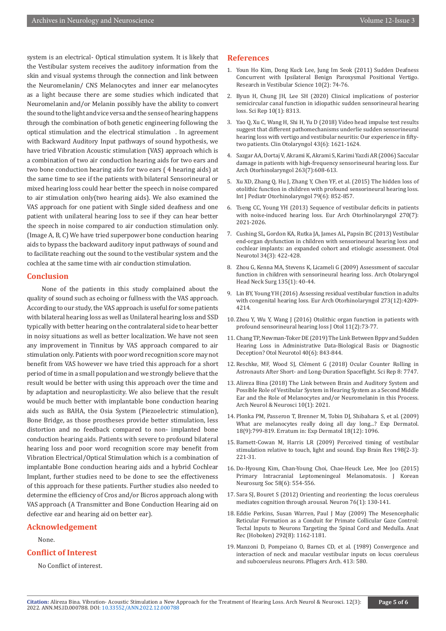system is an electrical- Optical stimulation system. It is likely that the Vestibular system receives the auditory information from the skin and visual systems through the connection and link between the Neuromelanin/ CNS Melanocytes and inner ear melanocytes as a light because there are some studies which indicated that Neuromelanin and/or Melanin possibly have the ability to convert the sound to the light and vice versa and the sense of hearing happens through the combination of both genetic engineering following the optical stimulation and the electrical stimulation . In agreement with Backward Auditory Input pathways of sound hypothesis, we have tried Vibration Acoustic stimulation (VAS) approach which is a combination of two air conduction hearing aids for two ears and two bone conduction hearing aids for two ears ( 4 hearing aids) at the same time to see if the patients with bilateral Sensorineural or mixed hearing loss could hear better the speech in noise compared to air stimulation only(two hearing aids). We also examined the VAS approach for one patient with Single sided deafness and one patient with unilateral hearing loss to see if they can hear better the speech in noise compared to air conduction stimulation only. (Image A, B, C) We have tried superpower bone conduction hearing aids to bypass the backward auditory input pathways of sound and to facilitate reaching out the sound to the vestibular system and the cochlea at the same time with air conduction stimulation.

# **Conclusion**

 None of the patients in this study complained about the quality of sound such as echoing or fullness with the VAS approach. According to our study, the VAS approach is useful for some patients with bilateral hearing loss as well as Unilateral hearing loss and SSD typically with better hearing on the contralateral side to hear better in noisy situations as well as better localization. We have not seen any improvement in Tinnitus by VAS approach compared to air stimulation only. Patients with poor word recognition score may not benefit from VAS however we have tried this approach for a short period of time in a small population and we strongly believe that the result would be better with using this approach over the time and by adaptation and neuroplasticity. We also believe that the result would be much better with implantable bone conduction hearing aids such as BAHA, the Osia System (Piezoelectric stimulation), Bone Bridge, as those prostheses provide better stimulation, less distortion and no feedback compared to non- implanted bone conduction hearing aids. Patients with severe to profound bilateral hearing loss and poor word recognition score may benefit from Vibration Electrical/Optical Stimulation which is a combination of implantable Bone conduction hearing aids and a hybrid Cochlear Implant, further studies need to be done to see the effectiveness of this approach for these patients. Further studies also needed to determine the efficiency of Cros and/or Bicros approach along with VAS approach (A Transmitter and Bone Conduction Hearing aid on defective ear and hearing aid on better ear).

#### **Acknowledgement**

None.

### **Conflict of Interest**

No Conflict of interest.

#### **References**

- 1. Youn Ho Kim, Dong Kuck Lee, Jung Im Seok (2011) Sudden Deafness Concurrent with Ipsilateral Benign Paroxysmal Positional Vertigo. Research in Vestibular Science 10(2): 74-76.
- 2. [Byun H, Chung JH, Lee SH \(2020\) Clinical implications of posterior](https://pubmed.ncbi.nlm.nih.gov/32433568/) [semicircular canal function in idiopathic sudden sensorineural hearing](https://pubmed.ncbi.nlm.nih.gov/32433568/) [loss. Sci Rep 10\(1\): 8313.](https://pubmed.ncbi.nlm.nih.gov/32433568/)
- 3. [Yao Q, Xu C, Wang H, Shi H, Yu D \(2018\) Video head impulse test results](https://pubmed.ncbi.nlm.nih.gov/30027648/) [suggest that different pathomechanisms underlie sudden sensorineural](https://pubmed.ncbi.nlm.nih.gov/30027648/) [hearing loss with vertigo and vestibular neuritis: Our experience in fifty](https://pubmed.ncbi.nlm.nih.gov/30027648/)[two patients. Clin Otolaryngol 43\(6\): 1621-1624.](https://pubmed.ncbi.nlm.nih.gov/30027648/)
- 4. [Sazgar AA, Dortaj V, Akrami K, Akrami S, Karimi Yazdi AR \(2006\) Saccular](https://pubmed.ncbi.nlm.nih.gov/16625399/) [damage in patients with high-frequency sensorineural hearing loss. Eur](https://pubmed.ncbi.nlm.nih.gov/16625399/) [Arch Otorhinolaryngol 263\(7\):608-613.](https://pubmed.ncbi.nlm.nih.gov/16625399/)
- 5. [Xu XD, Zhang Q, Hu J, Zhang Y, Chen YF, et al. \(2015\) The hidden loss of](https://pubmed.ncbi.nlm.nih.gov/25843786/) [otolithic function in children with profound sensorineural hearing loss.](https://pubmed.ncbi.nlm.nih.gov/25843786/) [Int J Pediatr Otorhinolaryngol 79\(6\): 852-857.](https://pubmed.ncbi.nlm.nih.gov/25843786/)
- 6. [Tseng CC, Young YH \(2013\) Sequence of vestibular deficits in patients](https://pubmed.ncbi.nlm.nih.gov/23143507/) [with noise-induced hearing loss. Eur Arch Otorhinolaryngol 270\(7\):](https://pubmed.ncbi.nlm.nih.gov/23143507/) [2021-2026.](https://pubmed.ncbi.nlm.nih.gov/23143507/)
- 7. [Cushing SL, Gordon KA, Rutka JA, James AL, Papsin BC \(2013\) Vestibular](https://pubmed.ncbi.nlm.nih.gov/23370550/) [end-organ dysfunction in children with sensorineural hearing loss and](https://pubmed.ncbi.nlm.nih.gov/23370550/) [cochlear implants: an expanded cohort and etiologic assessment. Otol](https://pubmed.ncbi.nlm.nih.gov/23370550/) [Neurotol 34\(3\): 422-428.](https://pubmed.ncbi.nlm.nih.gov/23370550/)
- 8. [Zhou G, Kenna MA, Stevens K, Licameli G \(2009\) Assessment of saccular](https://pubmed.ncbi.nlm.nih.gov/19153306/) [function in children with sensorineural hearing loss. Arch Otolaryngol](https://pubmed.ncbi.nlm.nih.gov/19153306/) [Head Neck Surg 135\(1\): 40-44.](https://pubmed.ncbi.nlm.nih.gov/19153306/)
- 9. Lin BY, Young YH (2016) Assessing residual vestibular function in adults with congenital hearing loss. Eur Arch Otorhinolaryngol 273(12):4209- 4214.
- 10. [Zhou Y, Wu Y, Wang J \(2016\) Otolithic organ function in patients with](https://www.ncbi.nlm.nih.gov/pmc/articles/PMC6002590/) [profound sensorineural hearing loss J Otol 11\(2\):73-77.](https://www.ncbi.nlm.nih.gov/pmc/articles/PMC6002590/)
- 11. [Chang TP, Newman-Toker DE \(2019\) The Link Between Bppv and Sudden](https://pubmed.ncbi.nlm.nih.gov/31192904/) [Hearing Loss in Administrative Data-Biological Basis or Diagnostic](https://pubmed.ncbi.nlm.nih.gov/31192904/) [Deception? Otol Neurotol 40\(6\): 843-844.](https://pubmed.ncbi.nlm.nih.gov/31192904/)
- 12. Reschke, MF, Wood SJ, Clément G (2018) Ocular Counter Rolling in Astronauts After Short- and Long-Duration Spaceflight. Sci Rep 8: 7747.
- 13. [Alireza Bina \(2018\) The Link between Brain and Auditory System and](https://irispublishers.com/ann/fulltext/the-link-between-brain-and-auditory-system-and-possible-role-of-vestibular-system.ID.000728.php) [Possible Role of Vestibular System in Hearing System as a Second Middle](https://irispublishers.com/ann/fulltext/the-link-between-brain-and-auditory-system-and-possible-role-of-vestibular-system.ID.000728.php) [Ear and the Role of Melanocytes and/or Neuromelanin in this Process.](https://irispublishers.com/ann/fulltext/the-link-between-brain-and-auditory-system-and-possible-role-of-vestibular-system.ID.000728.php) [Arch Neurol & Neurosci 10\(1\): 2021.](https://irispublishers.com/ann/fulltext/the-link-between-brain-and-auditory-system-and-possible-role-of-vestibular-system.ID.000728.php)
- 14. Plonka PM, Passeron T, Brenner M, Tobin DJ, Shibahara S, et al. (2009) What are melanocytes really doing all day long...? Exp Dermatol. 18(9):799-819. Erratum in: Exp Dermatol 18(12): 1096.
- 15. Barnett-Cowan M, Harris LR (2009) Perceived timing of vestibular stimulation relative to touch, light and sound. Exp Brain Res 198(2-3): 221-31.
- 16. [Do-Hyoung Kim, Chan-Young Choi, Chae-Heuck Lee, Mee Joo \(2015\)](https://pubmed.ncbi.nlm.nih.gov/26819692/) [Primary Intracranial Leptomeningeal Melanomatosis. J Korean](https://pubmed.ncbi.nlm.nih.gov/26819692/) [Neurosurg Soc 58\(6\): 554-556.](https://pubmed.ncbi.nlm.nih.gov/26819692/)
- 17. Sara SJ, Bouret S (2012) Orienting and reorienting: the locus coeruleus mediates cognition through arousal. Neuron 76(1): 130-141.
- 18. [Eddie Perkins, Susan Warren, Paul J May \(2009\) The Mesencephalic](https://pubmed.ncbi.nlm.nih.gov/19645020/) [Reticular Formation as a Conduit for Primate Collicular Gaze Control:](https://pubmed.ncbi.nlm.nih.gov/19645020/) [Tectal Inputs to Neurons Targeting the Spinal Cord and Medulla. Anat](https://pubmed.ncbi.nlm.nih.gov/19645020/) [Rec \(Hoboken\) 292\(8\): 1162-1181.](https://pubmed.ncbi.nlm.nih.gov/19645020/)
- 19. [Manzoni D, Pompeiano O, Barnes CD, et al. \(1989\) Convergence and](https://pubmed.ncbi.nlm.nih.gov/2657645/) [interaction of neck and macular vestibular inputs on locus coeruleus](https://pubmed.ncbi.nlm.nih.gov/2657645/) [and subcoeruleus neurons. Pflugers Arch. 413: 580.](https://pubmed.ncbi.nlm.nih.gov/2657645/)